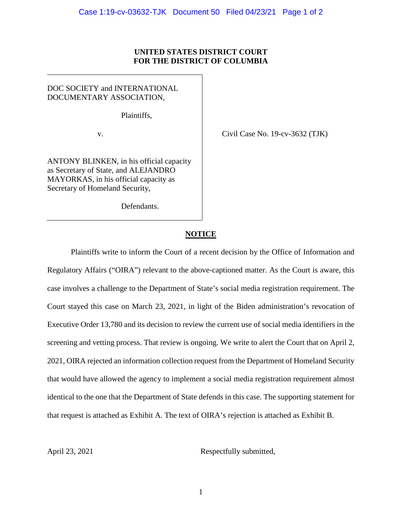### **UNITED STATES DISTRICT COURT FOR THE DISTRICT OF COLUMBIA**

## DOC SOCIETY and INTERNATIONAL DOCUMENTARY ASSOCIATION,

Plaintiffs,

v.

ANTONY BLINKEN, in his official capacity as Secretary of State, and ALEJANDRO MAYORKAS, in his official capacity as Secretary of Homeland Security,

Defendants.

Civil Case No. 19-cv-3632 (TJK)

# **NOTICE**

Plaintiffs write to inform the Court of a recent decision by the Office of Information and Regulatory Affairs ("OIRA") relevant to the above-captioned matter. As the Court is aware, this case involves a challenge to the Department of State's social media registration requirement. The Court stayed this case on March 23, 2021, in light of the Biden administration's revocation of Executive Order 13,780 and its decision to review the current use of social media identifiers in the screening and vetting process. That review is ongoing. We write to alert the Court that on April 2, 2021, OIRA rejected an information collection request from the Department of Homeland Security that would have allowed the agency to implement a social media registration requirement almost identical to the one that the Department of State defends in this case. The supporting statement for that request is attached as Exhibit A. The text of OIRA's rejection is attached as Exhibit B.

April 23, 2021 Respectfully submitted,